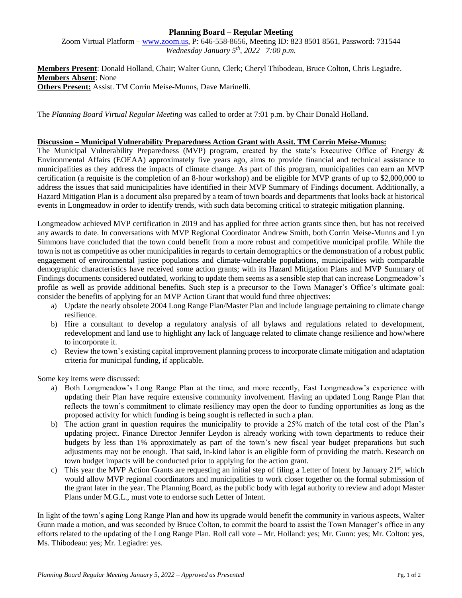# **Planning Board – Regular Meeting**

Zoom Virtual Platform – [www.zoom.us,](http://www.zoom.us/) P: 646-558-8656, Meeting ID: 823 8501 8561, Password: 731544 *Wednesday January 5 th, 2022 7:00 p.m.*

**Members Present**: Donald Holland, Chair; Walter Gunn, Clerk; Cheryl Thibodeau, Bruce Colton, Chris Legiadre. **Members Absent**: None **Others Present:** Assist. TM Corrin Meise-Munns, Dave Marinelli.

The *Planning Board Virtual Regular Meeting* was called to order at 7:01 p.m. by Chair Donald Holland.

#### **Discussion – Municipal Vulnerability Preparedness Action Grant with Assit. TM Corrin Meise-Munns:**

The Municipal Vulnerability Preparedness (MVP) program, created by the state's Executive Office of Energy & Environmental Affairs (EOEAA) approximately five years ago, aims to provide financial and technical assistance to municipalities as they address the impacts of climate change. As part of this program, municipalities can earn an MVP certification (a requisite is the completion of an 8-hour workshop) and be eligible for MVP grants of up to \$2,000,000 to address the issues that said municipalities have identified in their MVP Summary of Findings document. Additionally, a Hazard Mitigation Plan is a document also prepared by a team of town boards and departments that looks back at historical events in Longmeadow in order to identify trends, with such data becoming critical to strategic mitigation planning.

Longmeadow achieved MVP certification in 2019 and has applied for three action grants since then, but has not received any awards to date. In conversations with MVP Regional Coordinator Andrew Smith, both Corrin Meise-Munns and Lyn Simmons have concluded that the town could benefit from a more robust and competitive municipal profile. While the town is not as competitive as other municipalities in regards to certain demographics or the demonstration of a robust public engagement of environmental justice populations and climate-vulnerable populations, municipalities with comparable demographic characteristics have received some action grants; with its Hazard Mitigation Plans and MVP Summary of Findings documents considered outdated, working to update them seems as a sensible step that can increase Longmeadow's profile as well as provide additional benefits. Such step is a precursor to the Town Manager's Office's ultimate goal: consider the benefits of applying for an MVP Action Grant that would fund three objectives:

- a) Update the nearly obsolete 2004 Long Range Plan/Master Plan and include language pertaining to climate change resilience.
- b) Hire a consultant to develop a regulatory analysis of all bylaws and regulations related to development, redevelopment and land use to highlight any lack of language related to climate change resilience and how/where to incorporate it.
- c) Review the town's existing capital improvement planning process to incorporate climate mitigation and adaptation criteria for municipal funding, if applicable.

Some key items were discussed:

- a) Both Longmeadow's Long Range Plan at the time, and more recently, East Longmeadow's experience with updating their Plan have require extensive community involvement. Having an updated Long Range Plan that reflects the town's commitment to climate resiliency may open the door to funding opportunities as long as the proposed activity for which funding is being sought is reflected in such a plan.
- b) The action grant in question requires the municipality to provide a 25% match of the total cost of the Plan's updating project. Finance Director Jennifer Leydon is already working with town departments to reduce their budgets by less than 1% approximately as part of the town's new fiscal year budget preparations but such adjustments may not be enough. That said, in-kind labor is an eligible form of providing the match. Research on town budget impacts will be conducted prior to applying for the action grant.
- c) This year the MVP Action Grants are requesting an initial step of filing a Letter of Intent by January  $21<sup>st</sup>$ , which would allow MVP regional coordinators and municipalities to work closer together on the formal submission of the grant later in the year. The Planning Board, as the public body with legal authority to review and adopt Master Plans under M.G.L., must vote to endorse such Letter of Intent.

In light of the town's aging Long Range Plan and how its upgrade would benefit the community in various aspects, Walter Gunn made a motion, and was seconded by Bruce Colton, to commit the board to assist the Town Manager's office in any efforts related to the updating of the Long Range Plan. Roll call vote – Mr. Holland: yes; Mr. Gunn: yes; Mr. Colton: yes, Ms. Thibodeau: yes; Mr. Legiadre: yes.